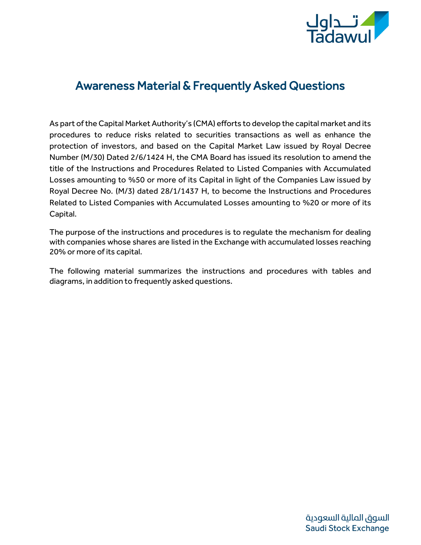

# Awareness Material & Frequently Asked Questions

As part of the Capital Market Authority's (CMA) efforts to develop the capital market and its procedures to reduce risks related to securities transactions as well as enhance the protection of investors, and based on the Capital Market Law issued by Royal Decree Number (M/30) Dated 2/6/1424 H, the CMA Board has issued its resolution to amend the title of the Instructions and Procedures Related to Listed Companies with Accumulated Losses amounting to %50 or more of its Capital in light of the Companies Law issued by Royal Decree No. (M/3) dated 28/1/1437 H, to become the Instructions and Procedures Related to Listed Companies with Accumulated Losses amounting to %20 or more of its Capital.

The purpose of the instructions and procedures is to regulate the mechanism for dealing with companies whose shares are listed in the Exchange with accumulated losses reaching 20% or more of its capital.

The following material summarizes the instructions and procedures with tables and diagrams, in addition to frequently asked questions.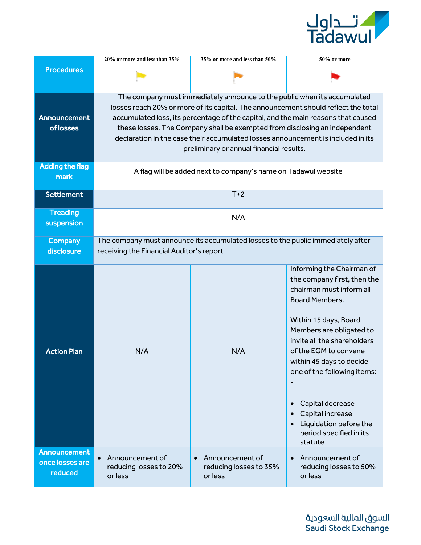

|                                                            | 20% or more and less than 35%                                                                                                                                                                                                                                                                                                                                                                                                                                     | 35% or more and less than 50%                                     | 50% or more                                                                                                                                                                                                                                                                                                                                                                                   |  |
|------------------------------------------------------------|-------------------------------------------------------------------------------------------------------------------------------------------------------------------------------------------------------------------------------------------------------------------------------------------------------------------------------------------------------------------------------------------------------------------------------------------------------------------|-------------------------------------------------------------------|-----------------------------------------------------------------------------------------------------------------------------------------------------------------------------------------------------------------------------------------------------------------------------------------------------------------------------------------------------------------------------------------------|--|
| <b>Procedures</b>                                          |                                                                                                                                                                                                                                                                                                                                                                                                                                                                   |                                                                   |                                                                                                                                                                                                                                                                                                                                                                                               |  |
| Announcement<br><b>of losses</b><br><b>Adding the flag</b> | The company must immediately announce to the public when its accumulated<br>losses reach 20% or more of its capital. The announcement should reflect the total<br>accumulated loss, its percentage of the capital, and the main reasons that caused<br>these losses. The Company shall be exempted from disclosing an independent<br>declaration in the case their accumulated losses announcement is included in its<br>preliminary or annual financial results. |                                                                   |                                                                                                                                                                                                                                                                                                                                                                                               |  |
| mark                                                       | A flag will be added next to company's name on Tadawul website                                                                                                                                                                                                                                                                                                                                                                                                    |                                                                   |                                                                                                                                                                                                                                                                                                                                                                                               |  |
| <b>Settlement</b>                                          | $T+2$                                                                                                                                                                                                                                                                                                                                                                                                                                                             |                                                                   |                                                                                                                                                                                                                                                                                                                                                                                               |  |
| <b>Treading</b><br>suspension                              | N/A                                                                                                                                                                                                                                                                                                                                                                                                                                                               |                                                                   |                                                                                                                                                                                                                                                                                                                                                                                               |  |
| <b>Company</b><br>disclosure                               | The company must announce its accumulated losses to the public immediately after<br>receiving the Financial Auditor's report                                                                                                                                                                                                                                                                                                                                      |                                                                   |                                                                                                                                                                                                                                                                                                                                                                                               |  |
| <b>Action Plan</b>                                         | N/A                                                                                                                                                                                                                                                                                                                                                                                                                                                               | N/A                                                               | Informing the Chairman of<br>the company first, then the<br>chairman must inform all<br><b>Board Members.</b><br>Within 15 days, Board<br>Members are obligated to<br>invite all the shareholders<br>of the EGM to convene<br>within 45 days to decide<br>one of the following items:<br>Capital decrease<br>Capital increase<br>Liquidation before the<br>period specified in its<br>statute |  |
| <b>Announcement</b><br>once losses are<br>reduced          | Announcement of<br>reducing losses to 20%<br>or less                                                                                                                                                                                                                                                                                                                                                                                                              | Announcement of<br>$\bullet$<br>reducing losses to 35%<br>or less | Announcement of<br>reducing losses to 50%<br>or less                                                                                                                                                                                                                                                                                                                                          |  |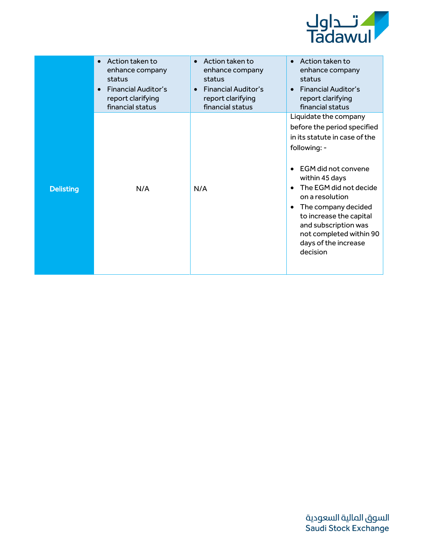

|                  | Action taken to<br>$\bullet$<br>enhance company<br>status<br><b>Financial Auditor's</b><br>$\bullet$<br>report clarifying<br>financial status | Action taken to<br>$\bullet$<br>enhance company<br>status<br><b>Financial Auditor's</b><br>$\bullet$<br>report clarifying<br>financial status | Action taken to<br>$\bullet$<br>enhance company<br>status<br><b>Financial Auditor's</b><br>$\bullet$<br>report clarifying<br>financial status                                                                                                                                                                                                          |
|------------------|-----------------------------------------------------------------------------------------------------------------------------------------------|-----------------------------------------------------------------------------------------------------------------------------------------------|--------------------------------------------------------------------------------------------------------------------------------------------------------------------------------------------------------------------------------------------------------------------------------------------------------------------------------------------------------|
| <b>Delisting</b> | N/A                                                                                                                                           | N/A                                                                                                                                           | Liquidate the company<br>before the period specified<br>in its statute in case of the<br>following: -<br>EGM did not convene<br>within 45 days<br>The EGM did not decide<br>$\bullet$<br>on a resolution<br>The company decided<br>٠<br>to increase the capital<br>and subscription was<br>not completed within 90<br>days of the increase<br>decision |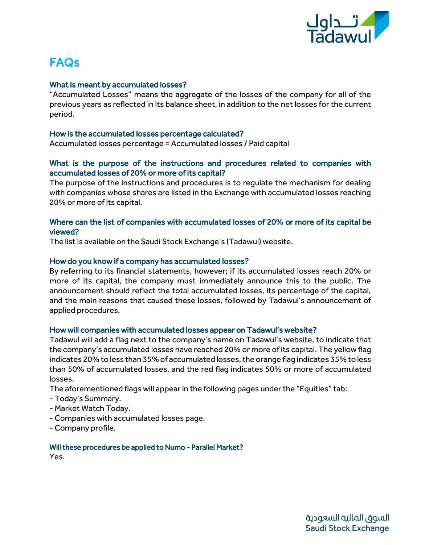

# FAQs

## What is meant by accumulated losses?

"Accumulated Losses" means the aggregate of the losses of the company for all of the previous years as reflected in its balance sheet, in addition to the net losses for the current period.

### How is the accumulated losses percentage calculated?

Accumulated losses percentage = Accumulated losses / Paid capital

# What is the purpose of the instructions and procedures related to companies with accumulated losses of 20% or more of its capital?

The purpose of the instructions and procedures is to regulate the mechanism for dealing with companies whose shares are listed in the Exchange with accumulated losses reaching 20% or more of its capital.

# Where can the list of companies with accumulated losses of 20% or more of its capital be viewed?

The list is available on the Saudi Stock Exchange's (Tadawul) website.

### How do you know if a company has accumulated losses?

By referring to its financial statements, however; if its accumulated losses reach 20% or more of its capital, the company must immediately announce this to the public. The announcement should reflect the total accumulated losses, its percentage of the capital, and the main reasons that caused these losses, followed by Tadawul's announcement of applied procedures.

### How will companies with accumulated losses appear on Tadawul's website?

Tadawul will add a flag next to the company's name on Tadawul's website, to indicate that the company's accumulated losses have reached 20% or more of its capital. The yellow flag indicates 20% to less than 35% of accumulated losses, the orange flag indicates 35% to less than 50% of accumulated losses, and the red flag indicates 50% or more of accumulated losses.

The aforementioned flags will appear in the following pages under the "Equities" tab:

- Today's Summary.
- Market Watch Today.
- Companies with accumulated losses page.
- Company profile.

Will these procedures be applied to Numo - Parallel Market? Yes.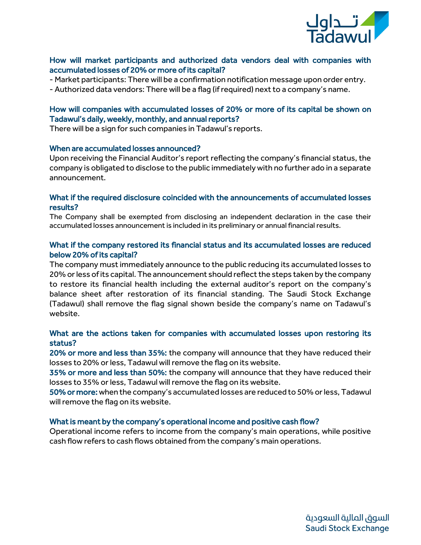

# How will market participants and authorized data vendors deal with companies with accumulated losses of 20% or more of its capital?

- Market participants: There will be a confirmation notification message upon order entry.

- Authorized data vendors: There will be a flag (if required) next to a company's name.

# How will companies with accumulated losses of 20% or more of its capital be shown on Tadawul's daily, weekly, monthly, and annual reports?

There will be a sign for such companies in Tadawul's reports.

### When are accumulated losses announced?

Upon receiving the Financial Auditor's report reflecting the company's financial status, the company is obligated to disclose to the public immediately with no further ado in a separate announcement.

### What if the required disclosure coincided with the announcements of accumulated losses results?

The Company shall be exempted from disclosing an independent declaration in the case their accumulated losses announcement is included in its preliminary or annual financial results.

### What if the company restored its financial status and its accumulated losses are reduced below 20% of its capital?

The company must immediately announce to the public reducing its accumulated losses to 20% or less of its capital. The announcement should reflect the steps taken by the company to restore its financial health including the external auditor's report on the company's balance sheet after restoration of its financial standing. The Saudi Stock Exchange (Tadawul) shall remove the flag signal shown beside the company's name on Tadawul's website.

# What are the actions taken for companies with accumulated losses upon restoring its status?

20% or more and less than 35%: the company will announce that they have reduced their losses to 20% or less, Tadawul will remove the flag on its website.

35% or more and less than 50%: the company will announce that they have reduced their losses to 35% or less, Tadawul will remove the flag on its website.

50% or more: when the company's accumulated losses are reduced to 50% or less, Tadawul will remove the flag on its website.

### What is meant by the company's operational income and positive cash flow?

Operational income refers to income from the company's main operations, while positive cash flow refers to cash flows obtained from the company's main operations.